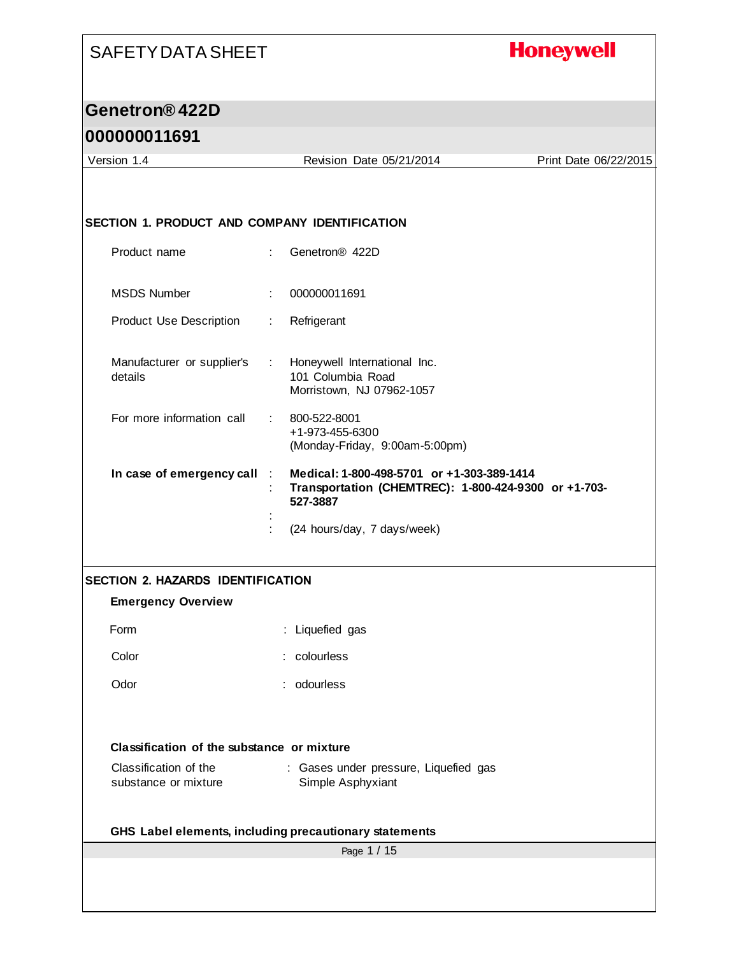### **Honeywell**

#### **Genetron® 422D**

#### **000000011691**

Page 1 / 15 Version 1.4 Revision Date 05/21/2014 Print Date 06/22/2015 **SECTION 1. PRODUCT AND COMPANY IDENTIFICATION** Product name : Genetron® 422D MSDS Number : 000000011691 Product Use Description : Refrigerant Manufacturer or supplier's details : Honeywell International Inc. 101 Columbia Road Morristown, NJ 07962-1057 For more information call : 800-522-8001 +1-973-455-6300 (Monday-Friday, 9:00am-5:00pm) **In case of emergency call** : **Medical: 1-800-498-5701 or +1-303-389-1414** : **Transportation (CHEMTREC): 1-800-424-9300 or +1-703- 527-3887** : : (24 hours/day, 7 days/week) **SECTION 2. HAZARDS IDENTIFICATION Emergency Overview** Form : Liquefied gas Color : colourless Odor : odourless **Classification of the substance or mixture** Classification of the substance or mixture : Gases under pressure, Liquefied gas Simple Asphyxiant **GHS Label elements, including precautionary statements**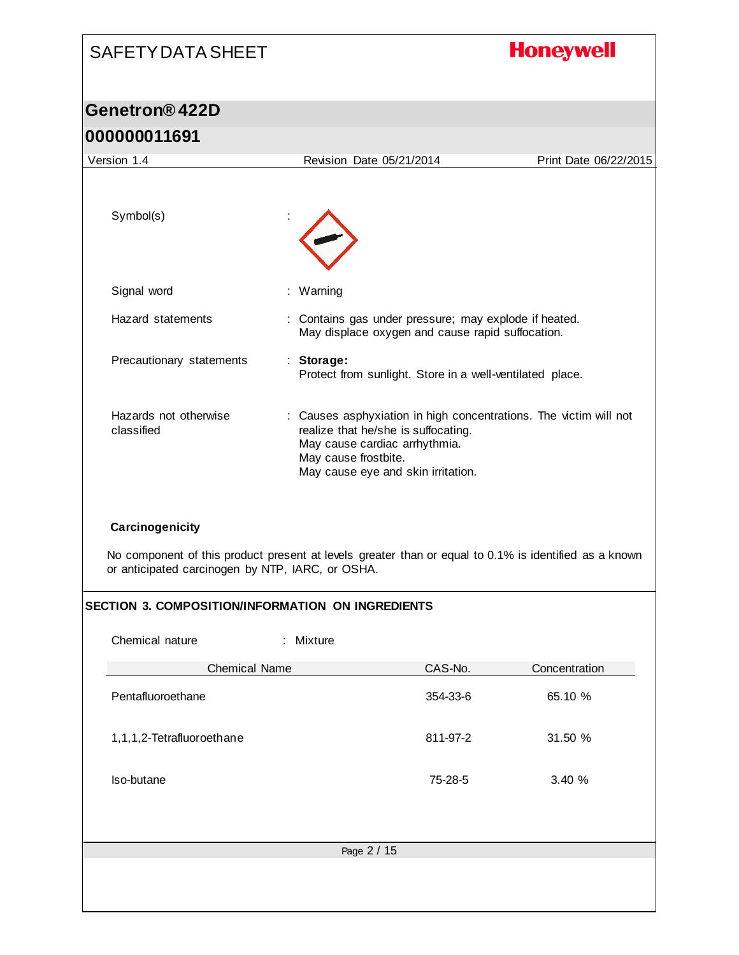# SAFETY DATA SHEET **Honeywell Genetron® 422D 000000011691** Version 1.4 Revision Date 05/21/2014 Print Date 06/22/2015 Symbol(s) Signal word : Warning Hazard statements : Contains gas under pressure; may explode if heated. May displace oxygen and cause rapid suffocation. Precautionary statements : **Storage:**  Protect from sunlight. Store in a well-ventilated place. Hazards not otherwise : Causes asphyxiation in high concentrations. The victim will not classified realize that he/she is suffocating. May cause cardiac arrhythmia. May cause frostbite. May cause eye and skin irritation. **Carcinogenicity** No component of this product present at levels greater than or equal to 0.1% is identified as a known or anticipated carcinogen by NTP, IARC, or OSHA. **SECTION 3. COMPOSITION/INFORMATION ON INGREDIENTS** Chemical nature : Mixture Chemical Name CAS-No. Concentration Pentafluoroethane 354-33-6 65.10 % 1,1,1,2-Tetrafluoroethane 811-97-2 31.50 % Iso-butane 75-28-5 3.40 %Page 2 / 15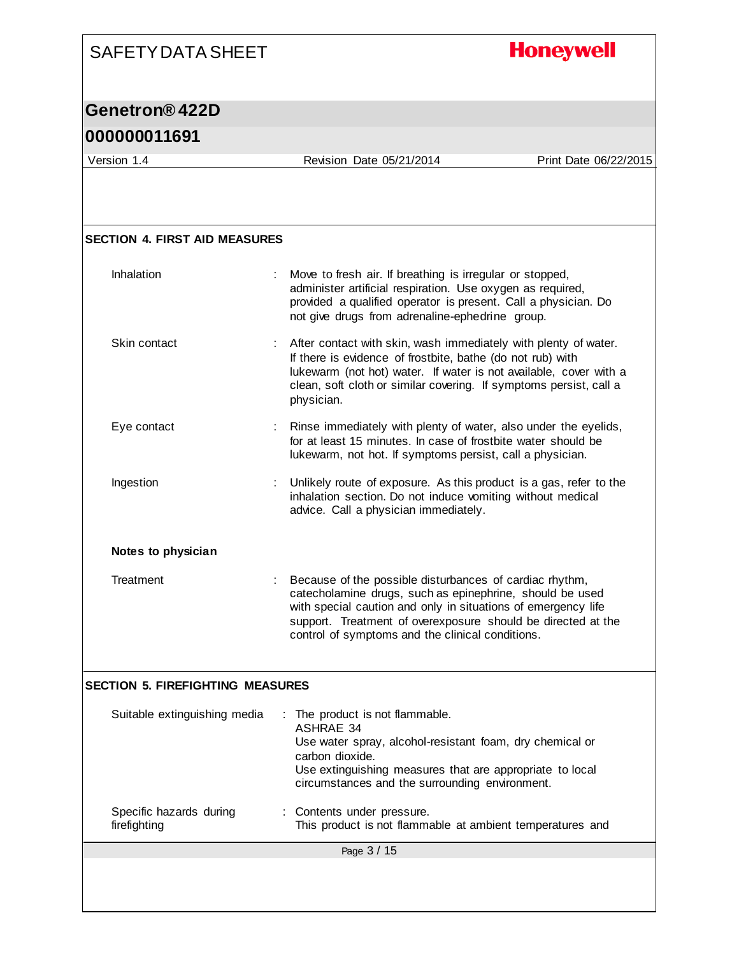### **Honeywell**

#### **Genetron® 422D**

#### **000000011691**

Page 3 / 15 Version 1.4 Revision Date 05/21/2014 Print Date 06/22/2015 **SECTION 4. FIRST AID MEASURES** Inhalation : Move to fresh air. If breathing is irregular or stopped, administer artificial respiration. Use oxygen as required, provided a qualified operator is present. Call a physician. Do not give drugs from adrenaline-ephedrine group. Skin contact : After contact with skin, wash immediately with plenty of water. If there is evidence of frostbite, bathe (do not rub) with lukewarm (not hot) water. If water is not available, cover with a clean, soft cloth or similar covering. If symptoms persist, call a physician. Eye contact : Rinse immediately with plenty of water, also under the eyelids, for at least 15 minutes. In case of frostbite water should be lukewarm, not hot. If symptoms persist, call a physician. Ingestion : Unlikely route of exposure. As this product is a gas, refer to the inhalation section. Do not induce vomiting without medical advice. Call a physician immediately. **Notes to physician** Treatment : Because of the possible disturbances of cardiac rhythm, catecholamine drugs, such as epinephrine, should be used with special caution and only in situations of emergency life support. Treatment of overexposure should be directed at the control of symptoms and the clinical conditions. **SECTION 5. FIREFIGHTING MEASURES** Suitable extinguishing media : The product is not flammable. ASHRAE 34 Use water spray, alcohol-resistant foam, dry chemical or carbon dioxide. Use extinguishing measures that are appropriate to local circumstances and the surrounding environment. Specific hazards during firefighting : Contents under pressure. This product is not flammable at ambient temperatures and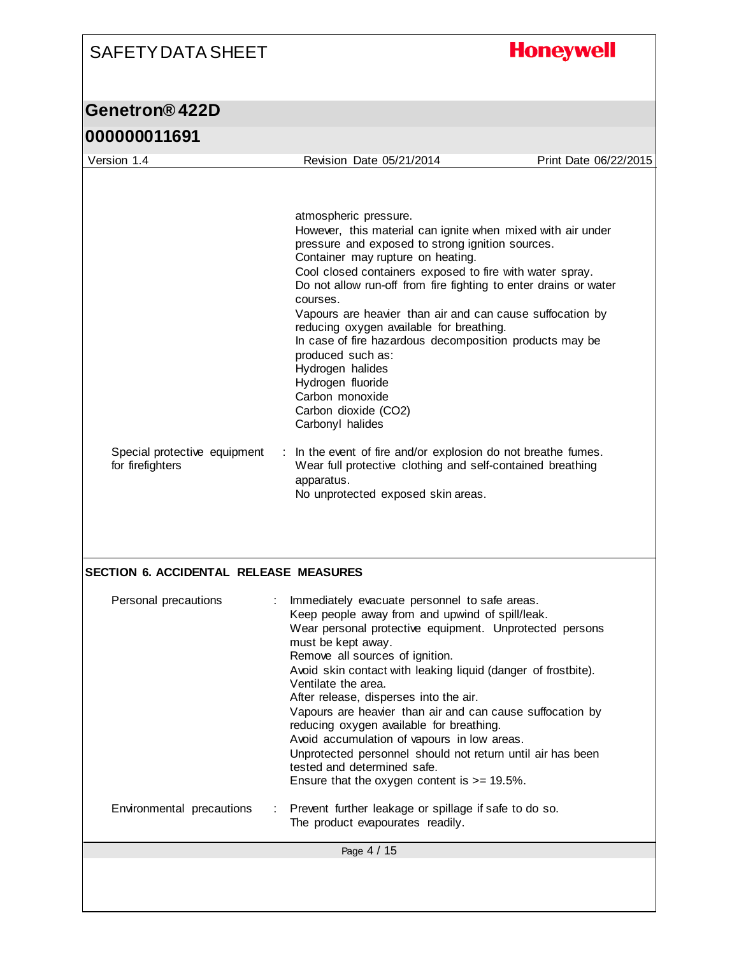**Honeywell** 

### **Genetron® 422D**

| Version 1.4                                      | Revision Date 05/21/2014                                                                                                                                                                                                                                                                                                                                                                                                                                                                                                                                                                               | Print Date 06/22/2015 |
|--------------------------------------------------|--------------------------------------------------------------------------------------------------------------------------------------------------------------------------------------------------------------------------------------------------------------------------------------------------------------------------------------------------------------------------------------------------------------------------------------------------------------------------------------------------------------------------------------------------------------------------------------------------------|-----------------------|
|                                                  |                                                                                                                                                                                                                                                                                                                                                                                                                                                                                                                                                                                                        |                       |
|                                                  |                                                                                                                                                                                                                                                                                                                                                                                                                                                                                                                                                                                                        |                       |
|                                                  | atmospheric pressure.<br>However, this material can ignite when mixed with air under<br>pressure and exposed to strong ignition sources.<br>Container may rupture on heating.<br>Cool closed containers exposed to fire with water spray.<br>Do not allow run-off from fire fighting to enter drains or water<br>courses.<br>Vapours are heavier than air and can cause suffocation by<br>reducing oxygen available for breathing.<br>In case of fire hazardous decomposition products may be<br>produced such as:<br>Hydrogen halides<br>Hydrogen fluoride<br>Carbon monoxide<br>Carbon dioxide (CO2) |                       |
|                                                  | Carbonyl halides                                                                                                                                                                                                                                                                                                                                                                                                                                                                                                                                                                                       |                       |
| Special protective equipment<br>for firefighters | In the event of fire and/or explosion do not breathe fumes.<br>Wear full protective clothing and self-contained breathing<br>apparatus.                                                                                                                                                                                                                                                                                                                                                                                                                                                                |                       |
|                                                  | No unprotected exposed skin areas.                                                                                                                                                                                                                                                                                                                                                                                                                                                                                                                                                                     |                       |
| SECTION 6. ACCIDENTAL RELEASE MEASURES           |                                                                                                                                                                                                                                                                                                                                                                                                                                                                                                                                                                                                        |                       |
| Personal precautions                             | Immediately evacuate personnel to safe areas.<br>Keep people away from and upwind of spill/leak.<br>Wear personal protective equipment. Unprotected persons<br>must be kept away.<br>Remove all sources of ignition.                                                                                                                                                                                                                                                                                                                                                                                   |                       |
|                                                  | Avoid skin contact with leaking liquid (danger of frostbite).<br>Ventilate the area.<br>After release, disperses into the air.                                                                                                                                                                                                                                                                                                                                                                                                                                                                         |                       |
|                                                  | Vapours are heavier than air and can cause suffocation by<br>reducing oxygen available for breathing.                                                                                                                                                                                                                                                                                                                                                                                                                                                                                                  |                       |
|                                                  | Avoid accumulation of vapours in low areas.<br>Unprotected personnel should not return until air has been<br>tested and determined safe.                                                                                                                                                                                                                                                                                                                                                                                                                                                               |                       |
|                                                  | Ensure that the oxygen content is $>= 19.5\%$ .                                                                                                                                                                                                                                                                                                                                                                                                                                                                                                                                                        |                       |
| Environmental precautions                        | Prevent further leakage or spillage if safe to do so.<br>÷<br>The product evapourates readily.                                                                                                                                                                                                                                                                                                                                                                                                                                                                                                         |                       |
|                                                  | Page 4 / 15                                                                                                                                                                                                                                                                                                                                                                                                                                                                                                                                                                                            |                       |
|                                                  |                                                                                                                                                                                                                                                                                                                                                                                                                                                                                                                                                                                                        |                       |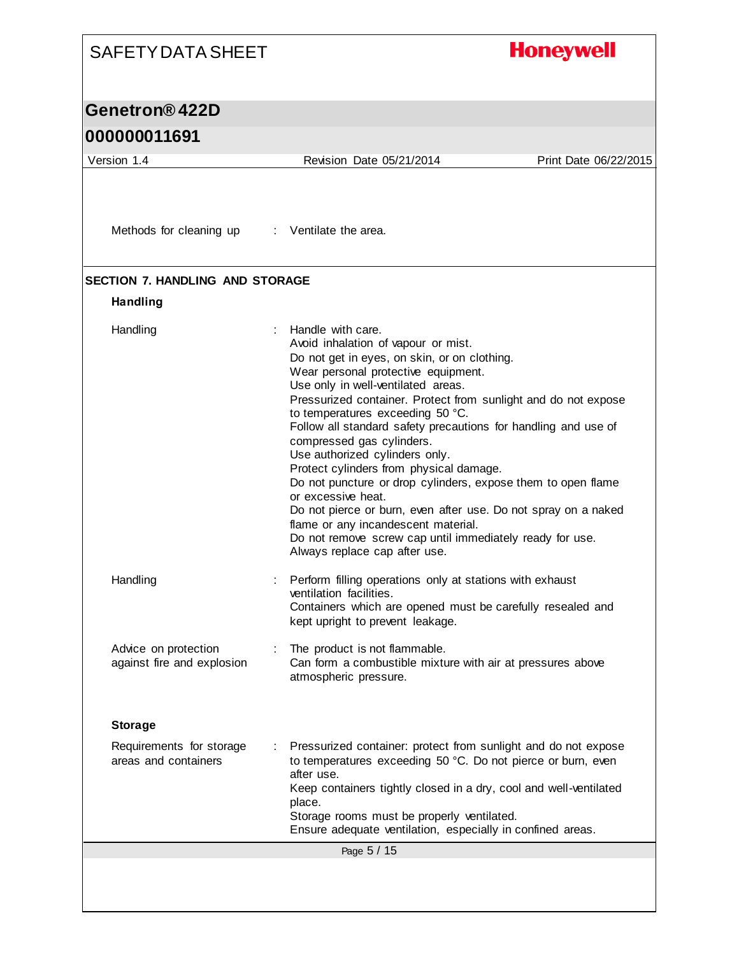| <b>SAFETY DATA SHEET</b>                           |                                                                                                                                                                                                                                                                                                                                                                                                                                                                                                                                                                                                                                                                                                                                                                     | <b>Honeywell</b>      |
|----------------------------------------------------|---------------------------------------------------------------------------------------------------------------------------------------------------------------------------------------------------------------------------------------------------------------------------------------------------------------------------------------------------------------------------------------------------------------------------------------------------------------------------------------------------------------------------------------------------------------------------------------------------------------------------------------------------------------------------------------------------------------------------------------------------------------------|-----------------------|
| Genetron® 422D                                     |                                                                                                                                                                                                                                                                                                                                                                                                                                                                                                                                                                                                                                                                                                                                                                     |                       |
| 000000011691                                       |                                                                                                                                                                                                                                                                                                                                                                                                                                                                                                                                                                                                                                                                                                                                                                     |                       |
| Version 1.4                                        | Revision Date 05/21/2014                                                                                                                                                                                                                                                                                                                                                                                                                                                                                                                                                                                                                                                                                                                                            | Print Date 06/22/2015 |
| Methods for cleaning up : Ventilate the area.      |                                                                                                                                                                                                                                                                                                                                                                                                                                                                                                                                                                                                                                                                                                                                                                     |                       |
| <b>SECTION 7. HANDLING AND STORAGE</b>             |                                                                                                                                                                                                                                                                                                                                                                                                                                                                                                                                                                                                                                                                                                                                                                     |                       |
| Handling                                           |                                                                                                                                                                                                                                                                                                                                                                                                                                                                                                                                                                                                                                                                                                                                                                     |                       |
| Handling                                           | Handle with care.<br>Avoid inhalation of vapour or mist.<br>Do not get in eyes, on skin, or on clothing.<br>Wear personal protective equipment.<br>Use only in well-ventilated areas.<br>Pressurized container. Protect from sunlight and do not expose<br>to temperatures exceeding 50 °C.<br>Follow all standard safety precautions for handling and use of<br>compressed gas cylinders.<br>Use authorized cylinders only.<br>Protect cylinders from physical damage.<br>Do not puncture or drop cylinders, expose them to open flame<br>or excessive heat.<br>Do not pierce or burn, even after use. Do not spray on a naked<br>flame or any incandescent material.<br>Do not remove screw cap until immediately ready for use.<br>Always replace cap after use. |                       |
| Handling                                           | Perform filling operations only at stations with exhaust<br>ventilation facilities.<br>Containers which are opened must be carefully resealed and<br>kept upright to prevent leakage.                                                                                                                                                                                                                                                                                                                                                                                                                                                                                                                                                                               |                       |
| Advice on protection<br>against fire and explosion | The product is not flammable.<br>Can form a combustible mixture with air at pressures above<br>atmospheric pressure.                                                                                                                                                                                                                                                                                                                                                                                                                                                                                                                                                                                                                                                |                       |
| <b>Storage</b>                                     |                                                                                                                                                                                                                                                                                                                                                                                                                                                                                                                                                                                                                                                                                                                                                                     |                       |
| Requirements for storage<br>areas and containers   | Pressurized container: protect from sunlight and do not expose<br>to temperatures exceeding 50 °C. Do not pierce or burn, even<br>after use.<br>Keep containers tightly closed in a dry, cool and well-ventilated<br>place.<br>Storage rooms must be properly ventilated.<br>Ensure adequate ventilation, especially in confined areas.                                                                                                                                                                                                                                                                                                                                                                                                                             |                       |
|                                                    | Page 5 / 15                                                                                                                                                                                                                                                                                                                                                                                                                                                                                                                                                                                                                                                                                                                                                         |                       |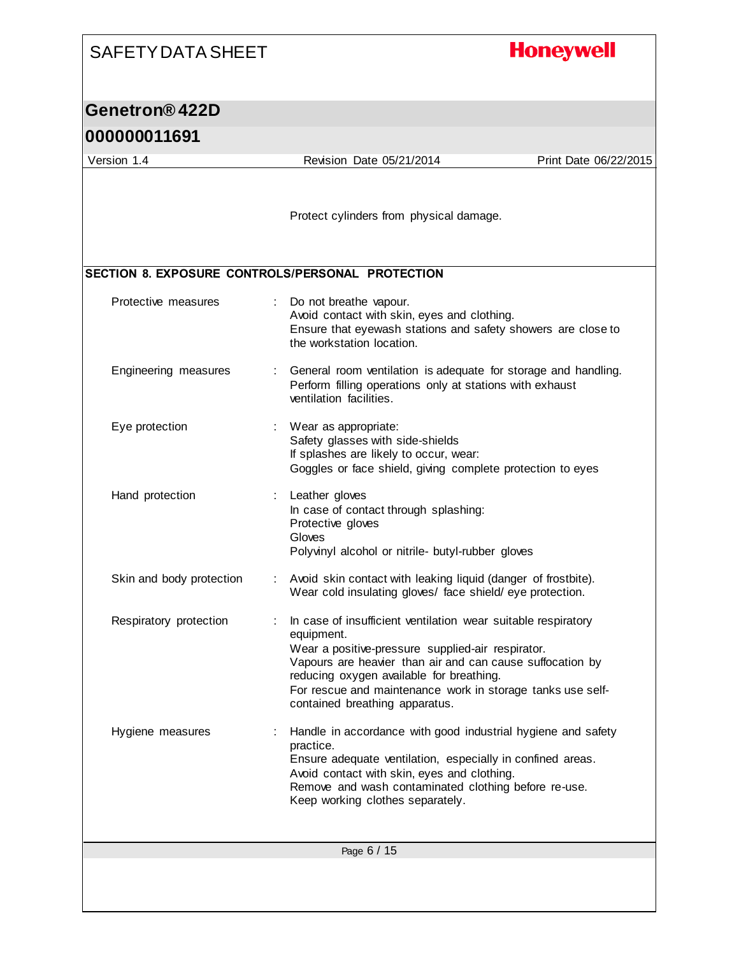## **Honeywell**

### **Genetron® 422D**

| Version 1.4                                      | Revision Date 05/21/2014                                                                                                                                                                                                                                                                                                                  | Print Date 06/22/2015 |
|--------------------------------------------------|-------------------------------------------------------------------------------------------------------------------------------------------------------------------------------------------------------------------------------------------------------------------------------------------------------------------------------------------|-----------------------|
|                                                  | Protect cylinders from physical damage.                                                                                                                                                                                                                                                                                                   |                       |
| SECTION 8. EXPOSURE CONTROLS/PERSONAL PROTECTION |                                                                                                                                                                                                                                                                                                                                           |                       |
| Protective measures                              | Do not breathe vapour.<br>Avoid contact with skin, eyes and clothing.<br>Ensure that eyewash stations and safety showers are close to<br>the workstation location.                                                                                                                                                                        |                       |
| Engineering measures                             | General room ventilation is adequate for storage and handling.<br>Perform filling operations only at stations with exhaust<br>ventilation facilities.                                                                                                                                                                                     |                       |
| Eye protection                                   | Wear as appropriate:<br>Safety glasses with side-shields<br>If splashes are likely to occur, wear:<br>Goggles or face shield, giving complete protection to eyes                                                                                                                                                                          |                       |
| Hand protection                                  | Leather gloves<br>In case of contact through splashing:<br>Protective gloves<br>Gloves<br>Polyvinyl alcohol or nitrile- butyl-rubber gloves                                                                                                                                                                                               |                       |
| Skin and body protection                         | Avoid skin contact with leaking liquid (danger of frostbite).<br>Wear cold insulating gloves/ face shield/ eye protection.                                                                                                                                                                                                                |                       |
| Respiratory protection                           | In case of insufficient ventilation wear suitable respiratory<br>equipment.<br>Wear a positive-pressure supplied-air respirator.<br>Vapours are heavier than air and can cause suffocation by<br>reducing oxygen available for breathing.<br>For rescue and maintenance work in storage tanks use self-<br>contained breathing apparatus. |                       |
| Hygiene measures                                 | Handle in accordance with good industrial hygiene and safety<br>practice.<br>Ensure adequate ventilation, especially in confined areas.<br>Avoid contact with skin, eyes and clothing.<br>Remove and wash contaminated clothing before re-use.<br>Keep working clothes separately.                                                        |                       |
|                                                  | Page 6 / 15                                                                                                                                                                                                                                                                                                                               |                       |
|                                                  |                                                                                                                                                                                                                                                                                                                                           |                       |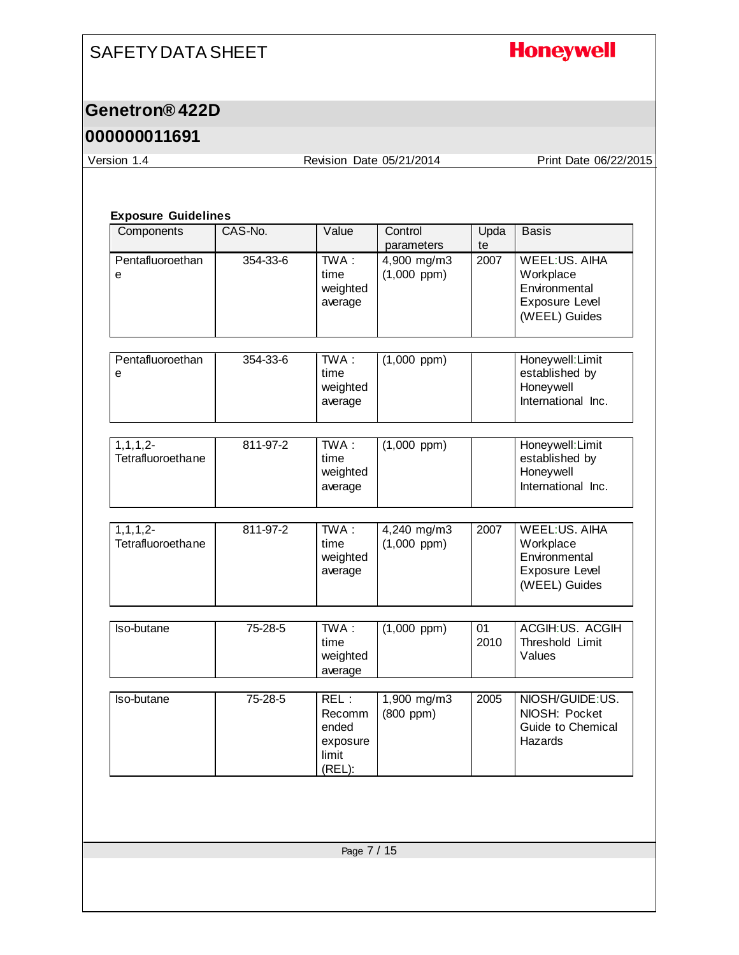## **Honeywell**

### **Genetron® 422D**

### **000000011691**

Version 1.4 Revision Date 05/21/2014 Print Date 06/22/2015

#### **Exposure Guidelines**

| Components                         | CAS-No.  | Value                                          | Control<br>parameters        | Upda<br>te | <b>Basis</b>                                                                          |
|------------------------------------|----------|------------------------------------------------|------------------------------|------------|---------------------------------------------------------------------------------------|
| Pentafluoroethan<br>е              | 354-33-6 | TWA:<br>time<br>weighted<br>average            | 4,900 mg/m3<br>$(1,000$ ppm) | 2007       | <b>WEEL:US. AIHA</b><br>Workplace<br>Environmental<br>Exposure Level<br>(WEEL) Guides |
|                                    |          |                                                |                              |            |                                                                                       |
| Pentafluoroethan<br>e              | 354-33-6 | TWA:<br>time<br>weighted<br>average            | $(1,000$ ppm $)$             |            | Honeywell: Limit<br>established by<br>Honeywell<br>International Inc.                 |
|                                    | 811-97-2 | TWA:                                           |                              |            |                                                                                       |
| $1, 1, 1, 2-$<br>Tetrafluoroethane |          | time<br>weighted<br>average                    | $(1,000$ ppm $)$             |            | Honeywell: Limit<br>established by<br>Honeywell<br>International Inc.                 |
| $1, 1, 1, 2-$                      | 811-97-2 | $TWA$ :                                        | 4,240 mg/m3                  | 2007       | <b>WEEL:US. AIHA</b>                                                                  |
| Tetrafluoroethane                  |          | time<br>weighted<br>average                    | $(1,000$ ppm $)$             |            | Workplace<br>Environmental<br>Exposure Level<br>(WEEL) Guides                         |
|                                    |          | TWA:                                           |                              | 01         | ACGIH:US. ACGIH                                                                       |
| Iso-butane                         | 75-28-5  | time<br>weighted<br>average                    | $(1,000$ ppm)                | 2010       | Threshold Limit<br>Values                                                             |
| Iso-butane                         | 75-28-5  | REL:                                           | 1,900 mg/m3                  | 2005       | NIOSH/GUIDE:US.                                                                       |
|                                    |          | Recomm<br>ended<br>exposure<br>limit<br>(REL): | (800 ppm)                    |            | NIOSH: Pocket<br>Guide to Chemical<br>Hazards                                         |
|                                    |          |                                                |                              |            |                                                                                       |
|                                    |          | Page 7 / 15                                    |                              |            |                                                                                       |
|                                    |          |                                                |                              |            |                                                                                       |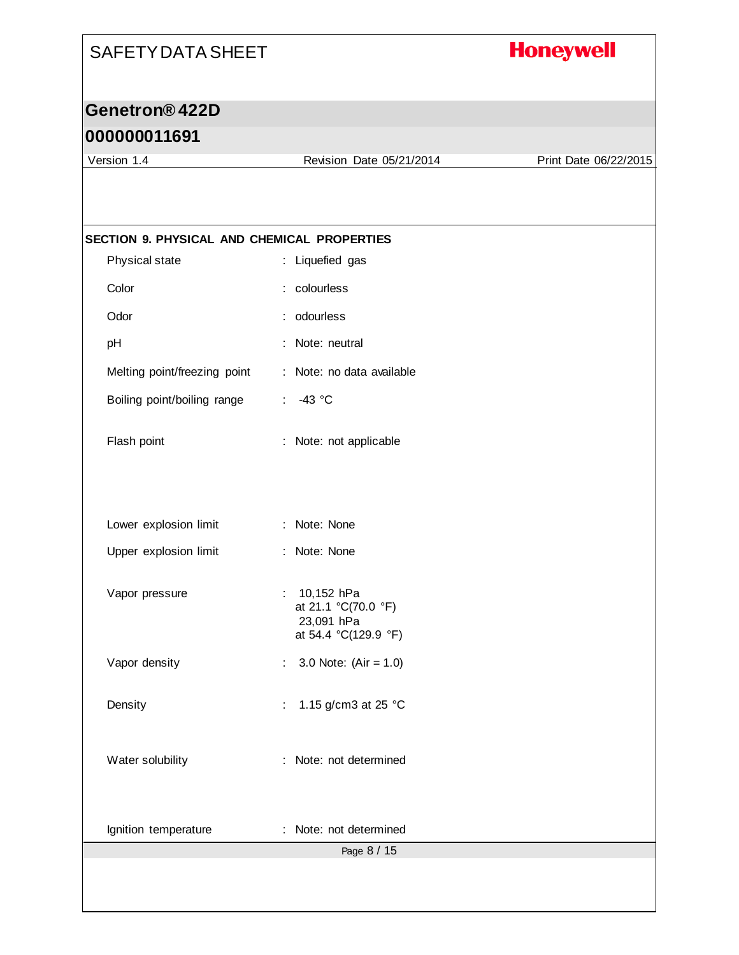## **Honeywell**

### **Genetron® 422D**

### **000000011691**

Version 1.4 Revision Date 05/21/2014 Print Date 06/22/2015

| Color<br>: colourless<br>: odourless<br>: Note: neutral<br>: 43 °C<br>: Note: None<br>: Note: None<br>: $10,152$ hPa |                                                           |
|----------------------------------------------------------------------------------------------------------------------|-----------------------------------------------------------|
| Odor                                                                                                                 |                                                           |
| pH                                                                                                                   |                                                           |
| Melting point/freezing point                                                                                         |                                                           |
| Boiling point/boiling range                                                                                          | : Note: no data available                                 |
| Flash point                                                                                                          |                                                           |
| Lower explosion limit<br>Upper explosion limit<br>Vapor pressure<br>Vapor density                                    | : Note: not applicable                                    |
|                                                                                                                      |                                                           |
|                                                                                                                      |                                                           |
|                                                                                                                      | at 21.1 °C(70.0 °F)<br>23,091 hPa<br>at 54.4 °C(129.9 °F) |
|                                                                                                                      | : $3.0$ Note: (Air = 1.0)                                 |
| Density<br>÷                                                                                                         | 1.15 g/cm3 at 25 °C                                       |
| Water solubility<br>÷                                                                                                | Note: not determined                                      |
| Ignition temperature<br>Note: not determined<br>÷.                                                                   |                                                           |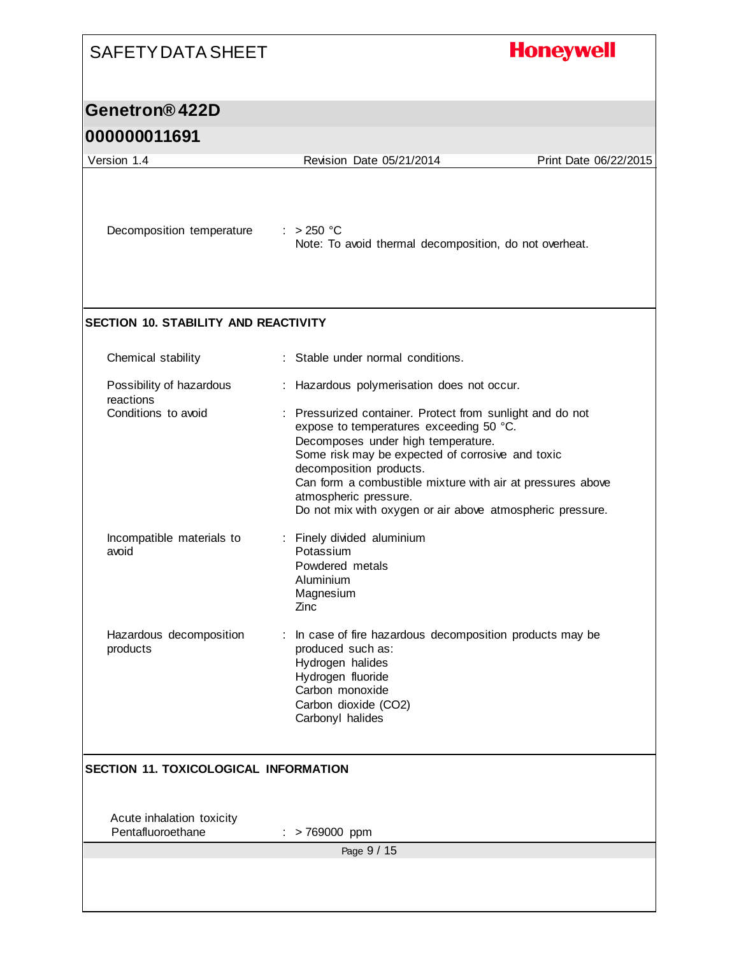### **Honeywell** SAFETY DATA SHEET **Genetron® 422D 000000011691** Version 1.4 Revision Date 05/21/2014 Print Date 06/22/2015 Decomposition temperature : > 250 °C Note: To avoid thermal decomposition, do not overheat. **SECTION 10. STABILITY AND REACTIVITY** Chemical stability : Stable under normal conditions. Possibility of hazardous : Hazardous polymerisation does not occur. reactions<br>Conditions to avoid : Pressurized container. Protect from sunlight and do not expose to temperatures exceeding 50 °C. Decomposes under high temperature. Some risk may be expected of corrosive and toxic decomposition products. Can form a combustible mixture with air at pressures above atmospheric pressure. Do not mix with oxygen or air above atmospheric pressure. Incompatible materials to : Finely divided aluminium avoid Potassium Powdered metals Aluminium Magnesium Zinc

Hazardous decomposition products : In case of fire hazardous decomposition products may be produced such as: Hydrogen halides Hydrogen fluoride Carbon monoxide Carbon dioxide (CO2) Carbonyl halides

#### **SECTION 11. TOXICOLOGICAL INFORMATION**

Acute inhalation toxicity Pentafluoroethane : > 769000 ppm

Page 9 / 15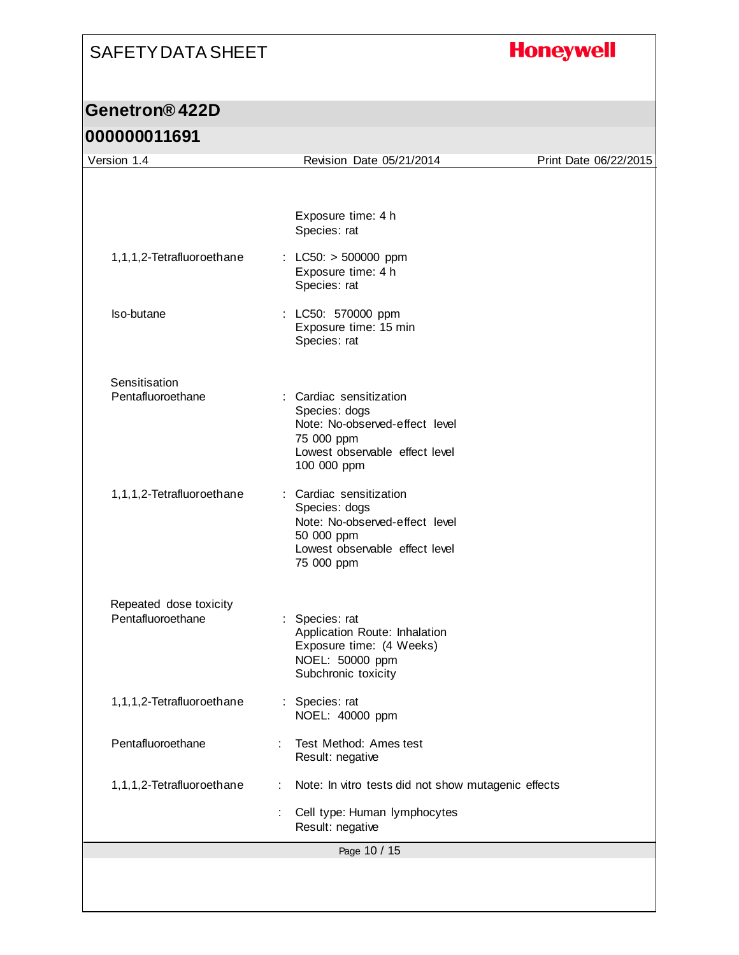## **Honeywell**

### **Genetron® 422D**

| Version 1.4                                 | Revision Date 05/21/2014                                                                                                                  | Print Date 06/22/2015 |
|---------------------------------------------|-------------------------------------------------------------------------------------------------------------------------------------------|-----------------------|
|                                             |                                                                                                                                           |                       |
|                                             | Exposure time: 4 h<br>Species: rat                                                                                                        |                       |
| 1,1,1,2-Tetrafluoroethane                   | : $LC50: > 500000$ ppm<br>Exposure time: 4 h<br>Species: rat                                                                              |                       |
| Iso-butane                                  | : LC50: 570000 ppm<br>Exposure time: 15 min<br>Species: rat                                                                               |                       |
| Sensitisation<br>Pentafluoroethane          | : Cardiac sensitization<br>Species: dogs<br>Note: No-observed-effect level<br>75 000 ppm<br>Lowest observable effect level<br>100 000 ppm |                       |
| 1,1,1,2-Tetrafluoroethane                   | : Cardiac sensitization<br>Species: dogs<br>Note: No-observed-effect level<br>50 000 ppm<br>Lowest observable effect level<br>75 000 ppm  |                       |
| Repeated dose toxicity<br>Pentafluoroethane | : Species: rat<br>Application Route: Inhalation<br>Exposure time: (4 Weeks)<br>NOEL: 50000 ppm<br>Subchronic toxicity                     |                       |
| 1,1,1,2-Tetrafluoroethane                   | : Species: rat<br>NOEL: 40000 ppm                                                                                                         |                       |
| Pentafluoroethane                           | Test Method: Ames test<br>Result: negative                                                                                                |                       |
| 1,1,1,2-Tetrafluoroethane                   | Note: In vitro tests did not show mutagenic effects                                                                                       |                       |
|                                             | Cell type: Human lymphocytes<br>Result: negative                                                                                          |                       |
|                                             | Page 10 / 15                                                                                                                              |                       |
|                                             |                                                                                                                                           |                       |
|                                             |                                                                                                                                           |                       |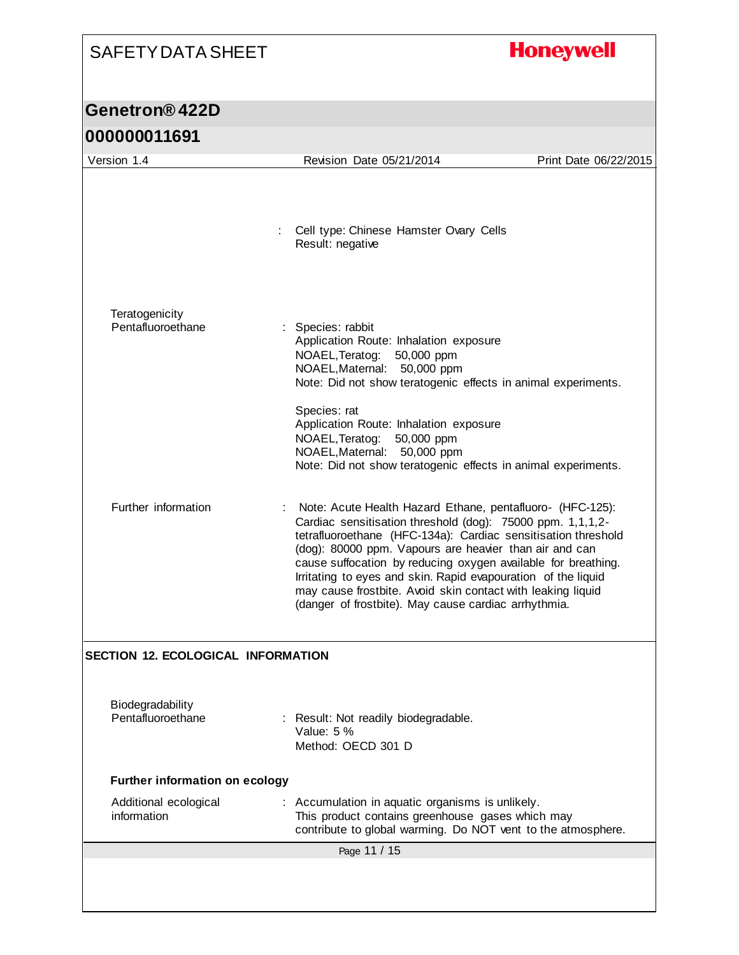## **Honeywell**

### **Genetron® 422D**

| Version 1.4                               | Revision Date 05/21/2014                                                                                                                                                                                                                                                                                                                                                                                                                                                                                    | Print Date 06/22/2015 |
|-------------------------------------------|-------------------------------------------------------------------------------------------------------------------------------------------------------------------------------------------------------------------------------------------------------------------------------------------------------------------------------------------------------------------------------------------------------------------------------------------------------------------------------------------------------------|-----------------------|
|                                           | Cell type: Chinese Hamster Ovary Cells<br>Result: negative                                                                                                                                                                                                                                                                                                                                                                                                                                                  |                       |
| Teratogenicity<br>Pentafluoroethane       | : Species: rabbit<br>Application Route: Inhalation exposure<br>NOAEL, Teratog: 50,000 ppm<br>NOAEL, Maternal: 50,000 ppm<br>Note: Did not show teratogenic effects in animal experiments.                                                                                                                                                                                                                                                                                                                   |                       |
|                                           | Species: rat<br>Application Route: Inhalation exposure<br>NOAEL, Teratog: 50,000 ppm<br>NOAEL, Maternal: 50,000 ppm<br>Note: Did not show teratogenic effects in animal experiments.                                                                                                                                                                                                                                                                                                                        |                       |
| Further information                       | Note: Acute Health Hazard Ethane, pentafluoro- (HFC-125):<br>Cardiac sensitisation threshold (dog): 75000 ppm. 1,1,1,2-<br>tetrafluoroethane (HFC-134a): Cardiac sensitisation threshold<br>(dog): 80000 ppm. Vapours are heavier than air and can<br>cause suffocation by reducing oxygen available for breathing.<br>Irritating to eyes and skin. Rapid evapouration of the liquid<br>may cause frostbite. Avoid skin contact with leaking liquid<br>(danger of frostbite). May cause cardiac arrhythmia. |                       |
| <b>SECTION 12. ECOLOGICAL INFORMATION</b> |                                                                                                                                                                                                                                                                                                                                                                                                                                                                                                             |                       |
| Biodegradability<br>Pentafluoroethane     | Result: Not readily biodegradable.<br>Value: 5 %<br>Method: OECD 301 D                                                                                                                                                                                                                                                                                                                                                                                                                                      |                       |
| <b>Further information on ecology</b>     |                                                                                                                                                                                                                                                                                                                                                                                                                                                                                                             |                       |
| Additional ecological<br>information      | : Accumulation in aquatic organisms is unlikely.<br>This product contains greenhouse gases which may<br>contribute to global warming. Do NOT vent to the atmosphere.                                                                                                                                                                                                                                                                                                                                        |                       |
|                                           | Page 11 / 15                                                                                                                                                                                                                                                                                                                                                                                                                                                                                                |                       |
|                                           |                                                                                                                                                                                                                                                                                                                                                                                                                                                                                                             |                       |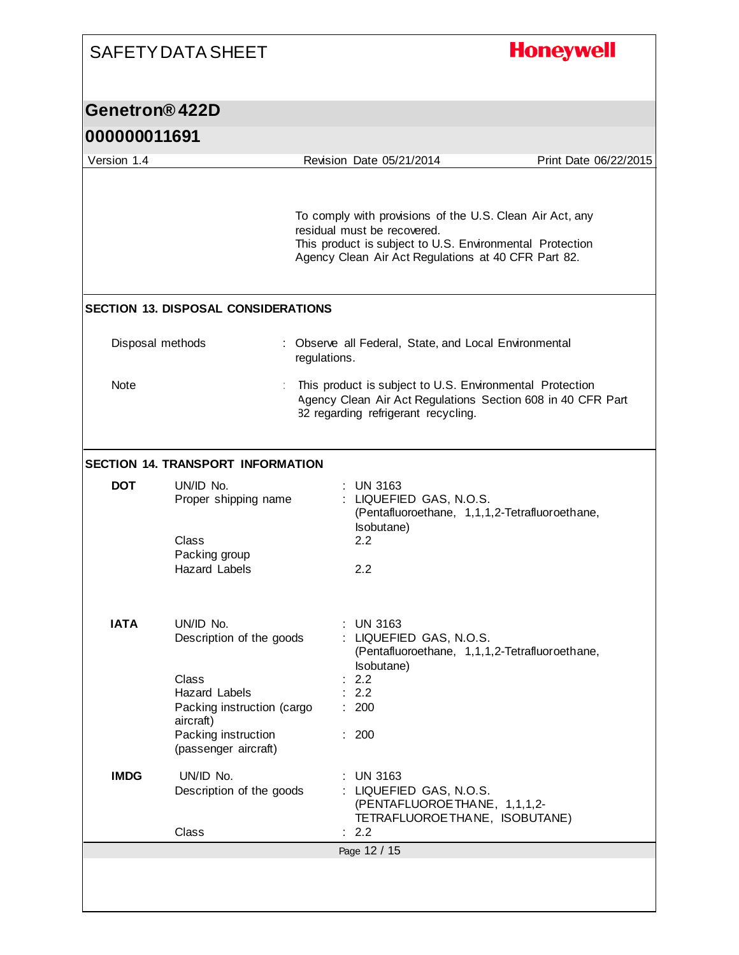| <b>SAFETY DATA SHEET</b> |                                                                                     | <b>Honeywell</b>                                                                                                                                                                                           |  |  |
|--------------------------|-------------------------------------------------------------------------------------|------------------------------------------------------------------------------------------------------------------------------------------------------------------------------------------------------------|--|--|
| Genetron®422D            |                                                                                     |                                                                                                                                                                                                            |  |  |
| 000000011691             |                                                                                     |                                                                                                                                                                                                            |  |  |
| Version 1.4              |                                                                                     | Revision Date 05/21/2014<br>Print Date 06/22/2015                                                                                                                                                          |  |  |
|                          |                                                                                     |                                                                                                                                                                                                            |  |  |
|                          |                                                                                     | To comply with provisions of the U.S. Clean Air Act, any<br>residual must be recovered.<br>This product is subject to U.S. Environmental Protection<br>Agency Clean Air Act Regulations at 40 CFR Part 82. |  |  |
|                          | <b>SECTION 13. DISPOSAL CONSIDERATIONS</b>                                          |                                                                                                                                                                                                            |  |  |
| Disposal methods         |                                                                                     | : Observe all Federal, State, and Local Environmental<br>regulations.                                                                                                                                      |  |  |
| <b>Note</b>              |                                                                                     | This product is subject to U.S. Environmental Protection<br>Agency Clean Air Act Regulations Section 608 in 40 CFR Part<br>82 regarding refrigerant recycling.                                             |  |  |
|                          | <b>SECTION 14. TRANSPORT INFORMATION</b>                                            |                                                                                                                                                                                                            |  |  |
| <b>DOT</b>               | UN/ID No.<br>Proper shipping name<br>Class<br>Packing group<br><b>Hazard Labels</b> | $:$ UN 3163<br>: LIQUEFIED GAS, N.O.S.<br>(Pentafluoroethane, 1,1,1,2-Tetrafluoroethane,<br>Isobutane)<br>2.2<br>2.2                                                                                       |  |  |
|                          | UN/ID No.                                                                           | <b>UN 3163</b>                                                                                                                                                                                             |  |  |
| <b>IATA</b>              | Description of the goods                                                            | : LIQUEFIED GAS, N.O.S.<br>(Pentafluoroethane, 1,1,1,2-Tetrafluoroethane,                                                                                                                                  |  |  |
|                          | Class<br><b>Hazard Labels</b><br>Packing instruction (cargo                         | Isobutane)<br>: 2.2<br>: 2.2<br>: 200                                                                                                                                                                      |  |  |
|                          | aircraft)<br>Packing instruction<br>(passenger aircraft)                            | : 200                                                                                                                                                                                                      |  |  |
| <b>IMDG</b>              | UN/ID No.<br>Description of the goods                                               | UN 3163<br>: LIQUEFIED GAS, N.O.S.<br>(PENTAFLUOROETHANE, 1,1,1,2-<br>TETRAFLUOROETHANE, ISOBUTANE)                                                                                                        |  |  |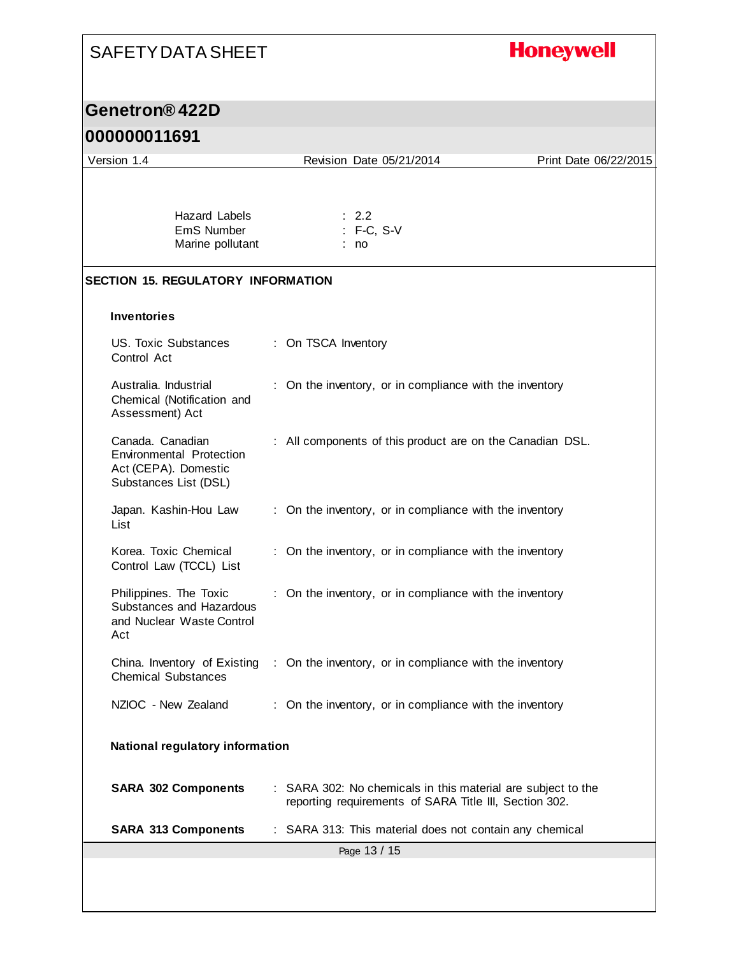## **Honeywell**

### **Genetron® 422D**

| Version 1.4                                                                                          |  | Revision Date 05/21/2014                                                                                               | Print Date 06/22/2015 |  |
|------------------------------------------------------------------------------------------------------|--|------------------------------------------------------------------------------------------------------------------------|-----------------------|--|
| <b>Hazard Labels</b><br>EmS Number<br>Marine pollutant                                               |  | : 2.2<br>: F-C, S-V<br>: no                                                                                            |                       |  |
| <b>SECTION 15. REGULATORY INFORMATION</b>                                                            |  |                                                                                                                        |                       |  |
| <b>Inventories</b>                                                                                   |  |                                                                                                                        |                       |  |
| US. Toxic Substances<br>Control Act                                                                  |  | : On TSCA Inventory                                                                                                    |                       |  |
| Australia, Industrial<br>Chemical (Notification and<br>Assessment) Act                               |  | : On the inventory, or in compliance with the inventory                                                                |                       |  |
| Canada. Canadian<br><b>Environmental Protection</b><br>Act (CEPA). Domestic<br>Substances List (DSL) |  | : All components of this product are on the Canadian DSL.                                                              |                       |  |
| Japan. Kashin-Hou Law<br>List                                                                        |  | : On the inventory, or in compliance with the inventory                                                                |                       |  |
| Korea. Toxic Chemical<br>Control Law (TCCL) List                                                     |  | : On the inventory, or in compliance with the inventory                                                                |                       |  |
| Philippines. The Toxic<br>Substances and Hazardous<br>and Nuclear Waste Control<br>Act               |  | : On the inventory, or in compliance with the inventory                                                                |                       |  |
| <b>Chemical Substances</b>                                                                           |  | China. Inventory of Existing : On the inventory, or in compliance with the inventory                                   |                       |  |
| NZIOC - New Zealand                                                                                  |  | : On the inventory, or in compliance with the inventory                                                                |                       |  |
| National regulatory information                                                                      |  |                                                                                                                        |                       |  |
| <b>SARA 302 Components</b>                                                                           |  | : SARA 302: No chemicals in this material are subject to the<br>reporting requirements of SARA Title III, Section 302. |                       |  |
| <b>SARA 313 Components</b>                                                                           |  | : SARA 313: This material does not contain any chemical                                                                |                       |  |
|                                                                                                      |  | Page 13 / 15                                                                                                           |                       |  |
|                                                                                                      |  |                                                                                                                        |                       |  |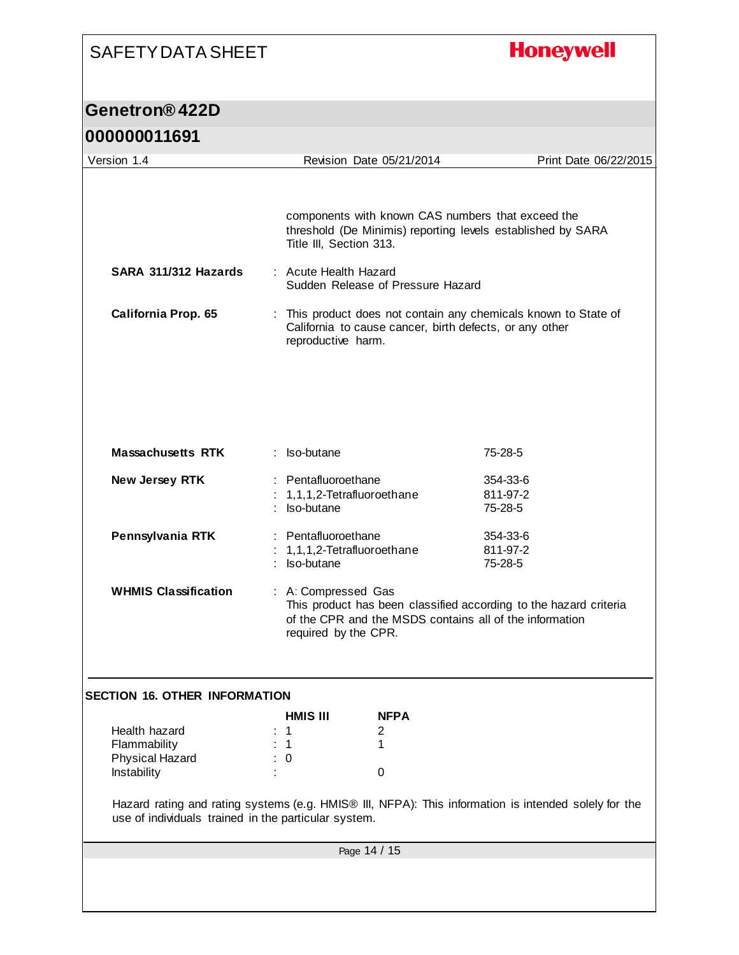## **Honeywell**

### **Genetron® 422D**

| Version 1.4                                          |                    | Revision Date 05/21/2014                                                                                                                                                                                                                                                   |  | Print Date 06/22/2015                                                                                                        |
|------------------------------------------------------|--------------------|----------------------------------------------------------------------------------------------------------------------------------------------------------------------------------------------------------------------------------------------------------------------------|--|------------------------------------------------------------------------------------------------------------------------------|
| SARA 311/312 Hazards<br><b>California Prop. 65</b>   |                    | components with known CAS numbers that exceed the<br>threshold (De Minimis) reporting levels established by SARA<br>Title III, Section 313.<br>: Acute Health Hazard<br>Sudden Release of Pressure Hazard<br>This product does not contain any chemicals known to State of |  |                                                                                                                              |
|                                                      |                    | reproductive harm.                                                                                                                                                                                                                                                         |  | California to cause cancer, birth defects, or any other                                                                      |
|                                                      |                    |                                                                                                                                                                                                                                                                            |  |                                                                                                                              |
| <b>Massachusetts RTK</b>                             | $:$ Iso-butane     |                                                                                                                                                                                                                                                                            |  | 75-28-5                                                                                                                      |
| New Jersey RTK                                       |                    | : Pentafluoroethane                                                                                                                                                                                                                                                        |  | 354-33-6                                                                                                                     |
|                                                      | : Iso-butane       | : 1,1,1,2-Tetrafluoroethane                                                                                                                                                                                                                                                |  | 811-97-2<br>75-28-5                                                                                                          |
|                                                      |                    |                                                                                                                                                                                                                                                                            |  |                                                                                                                              |
| Pennsylvania RTK                                     |                    | : Pentafluoroethane                                                                                                                                                                                                                                                        |  | 354-33-6<br>811-97-2                                                                                                         |
|                                                      | : Iso-butane       | 1,1,1,2-Tetrafluoroethane                                                                                                                                                                                                                                                  |  | 75-28-5                                                                                                                      |
| <b>WHMIS Classification</b>                          |                    | : A: Compressed Gas<br>required by the CPR.                                                                                                                                                                                                                                |  | This product has been classified according to the hazard criteria<br>of the CPR and the MSDS contains all of the information |
| <b>SECTION 16. OTHER INFORMATION</b>                 |                    |                                                                                                                                                                                                                                                                            |  |                                                                                                                              |
|                                                      | <b>HMIS III</b>    | <b>NFPA</b>                                                                                                                                                                                                                                                                |  |                                                                                                                              |
| Health hazard                                        | 1                  | 2                                                                                                                                                                                                                                                                          |  |                                                                                                                              |
| Flammability<br>Physical Hazard                      | $\mathbf 1$<br>: 0 | 1                                                                                                                                                                                                                                                                          |  |                                                                                                                              |
| Instability                                          |                    | 0                                                                                                                                                                                                                                                                          |  |                                                                                                                              |
|                                                      |                    |                                                                                                                                                                                                                                                                            |  |                                                                                                                              |
| use of individuals trained in the particular system. |                    |                                                                                                                                                                                                                                                                            |  | Hazard rating and rating systems (e.g. HMIS® III, NFPA): This information is intended solely for the                         |
|                                                      |                    | Page 14 / 15                                                                                                                                                                                                                                                               |  |                                                                                                                              |
|                                                      |                    |                                                                                                                                                                                                                                                                            |  |                                                                                                                              |